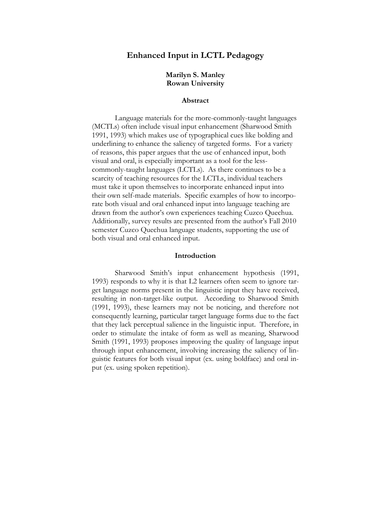# **Enhanced Input in LCTL Pedagogy**

# **Marilyn S. Manley Rowan University**

## **Abstract**

Language materials for the more-commonly-taught languages (MCTLs) often include visual input enhancement (Sharwood Smith 1991, 1993) which makes use of typographical cues like bolding and underlining to enhance the saliency of targeted forms. For a variety of reasons, this paper argues that the use of enhanced input, both visual and oral, is especially important as a tool for the lesscommonly-taught languages (LCTLs). As there continues to be a scarcity of teaching resources for the LCTLs, individual teachers must take it upon themselves to incorporate enhanced input into their own self-made materials. Specific examples of how to incorporate both visual and oral enhanced input into language teaching are drawn from the author's own experiences teaching Cuzco Quechua. Additionally, survey results are presented from the author's Fall 2010 semester Cuzco Quechua language students, supporting the use of both visual and oral enhanced input.

### **Introduction**

Sharwood Smith's input enhancement hypothesis (1991, 1993) responds to why it is that L2 learners often seem to ignore target language norms present in the linguistic input they have received, resulting in non-target-like output. According to Sharwood Smith (1991, 1993), these learners may not be noticing, and therefore not consequently learning, particular target language forms due to the fact that they lack perceptual salience in the linguistic input. Therefore, in order to stimulate the intake of form as well as meaning, Sharwood Smith (1991, 1993) proposes improving the quality of language input through input enhancement, involving increasing the saliency of linguistic features for both visual input (ex. using boldface) and oral input (ex. using spoken repetition).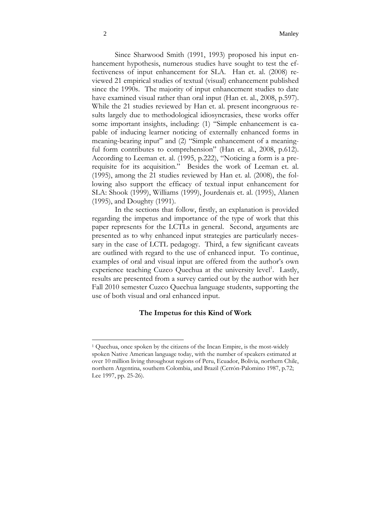Since Sharwood Smith (1991, 1993) proposed his input enhancement hypothesis, numerous studies have sought to test the effectiveness of input enhancement for SLA. Han et. al. (2008) reviewed 21 empirical studies of textual (visual) enhancement published since the 1990s. The majority of input enhancement studies to date have examined visual rather than oral input (Han et. al., 2008, p.597). While the 21 studies reviewed by Han et. al. present incongruous results largely due to methodological idiosyncrasies, these works offer some important insights, including: (1) "Simple enhancement is capable of inducing learner noticing of externally enhanced forms in meaning-bearing input" and (2) "Simple enhancement of a meaningful form contributes to comprehension" (Han et. al., 2008, p.612). According to Leeman et. al. (1995, p.222), "Noticing a form is a prerequisite for its acquisition." Besides the work of Leeman et. al. (1995), among the 21 studies reviewed by Han et. al. (2008), the following also support the efficacy of textual input enhancement for SLA: Shook (1999), Williams (1999), Jourdenais et. al. (1995), Alanen (1995), and Doughty (1991).

In the sections that follow, firstly, an explanation is provided regarding the impetus and importance of the type of work that this paper represents for the LCTLs in general. Second, arguments are presented as to why enhanced input strategies are particularly necessary in the case of LCTL pedagogy. Third, a few significant caveats are outlined with regard to the use of enhanced input. To continue, examples of oral and visual input are offered from the author's own experience teaching Cuzco Quechua at the university level<sup>1</sup>. Lastly, results are presented from a survey carried out by the author with her Fall 2010 semester Cuzco Quechua language students, supporting the use of both visual and oral enhanced input.

#### **The Impetus for this Kind of Work**

 $\overline{a}$ 

<sup>1</sup> Quechua, once spoken by the citizens of the Incan Empire, is the most-widely spoken Native American language today, with the number of speakers estimated at over 10 million living throughout regions of Peru, Ecuador, Bolivia, northern Chile, northern Argentina, southern Colombia, and Brazil (Cerrón-Palomino 1987, p.72; Lee 1997, pp. 25-26).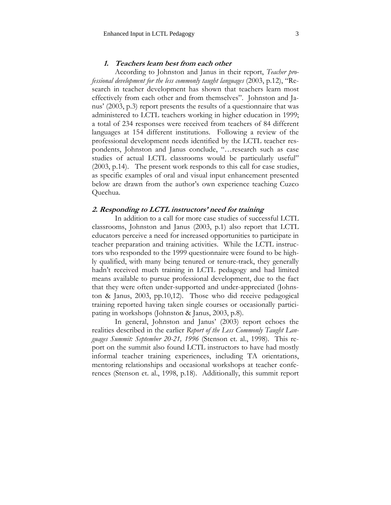# **1. Teachers learn best from each other**

 According to Johnston and Janus in their report, *Teacher professional development for the less commonly taught languages* (2003, p.12), "Research in teacher development has shown that teachers learn most effectively from each other and from themselves". Johnston and Janus' (2003, p.3) report presents the results of a questionnaire that was administered to LCTL teachers working in higher education in 1999; a total of 234 responses were received from teachers of 84 different languages at 154 different institutions. Following a review of the professional development needs identified by the LCTL teacher respondents, Johnston and Janus conclude, "…research such as case studies of actual LCTL classrooms would be particularly useful" (2003, p.14). The present work responds to this call for case studies, as specific examples of oral and visual input enhancement presented below are drawn from the author's own experience teaching Cuzco Quechua.

## **2. Responding to LCTL instructors' need for training**

 In addition to a call for more case studies of successful LCTL classrooms, Johnston and Janus (2003, p.1) also report that LCTL educators perceive a need for increased opportunities to participate in teacher preparation and training activities. While the LCTL instructors who responded to the 1999 questionnaire were found to be highly qualified, with many being tenured or tenure-track, they generally hadn't received much training in LCTL pedagogy and had limited means available to pursue professional development, due to the fact that they were often under-supported and under-appreciated (Johnston & Janus, 2003, pp.10,12). Those who did receive pedagogical training reported having taken single courses or occasionally participating in workshops (Johnston & Janus, 2003, p.8).

 In general, Johnston and Janus' (2003) report echoes the realities described in the earlier *Report of the Less Commonly Taught Languages Summit: September 20-21, 1996* (Stenson et. al., 1998). This report on the summit also found LCTL instructors to have had mostly informal teacher training experiences, including TA orientations, mentoring relationships and occasional workshops at teacher conferences (Stenson et. al., 1998, p.18). Additionally, this summit report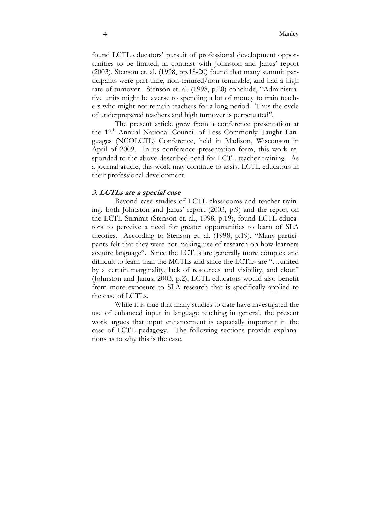found LCTL educators' pursuit of professional development opportunities to be limited; in contrast with Johnston and Janus' report (2003), Stenson et. al. (1998, pp.18-20) found that many summit participants were part-time, non-tenured/non-tenurable, and had a high rate of turnover. Stenson et. al. (1998, p.20) conclude, "Administrative units might be averse to spending a lot of money to train teachers who might not remain teachers for a long period. Thus the cycle of underprepared teachers and high turnover is perpetuated".

 The present article grew from a conference presentation at the 12<sup>th</sup> Annual National Council of Less Commonly Taught Languages (NCOLCTL) Conference, held in Madison, Wisconson in April of 2009. In its conference presentation form, this work responded to the above-described need for LCTL teacher training. As a journal article, this work may continue to assist LCTL educators in their professional development.

### **3. LCTLs are a special case**

 Beyond case studies of LCTL classrooms and teacher training, both Johnston and Janus' report (2003, p.9) and the report on the LCTL Summit (Stenson et. al., 1998, p.19), found LCTL educators to perceive a need for greater opportunities to learn of SLA theories. According to Stenson et. al. (1998, p.19), "Many participants felt that they were not making use of research on how learners acquire language". Since the LCTLs are generally more complex and difficult to learn than the MCTLs and since the LCTLs are "…united by a certain marginality, lack of resources and visibility, and clout" (Johnston and Janus, 2003, p.2), LCTL educators would also benefit from more exposure to SLA research that is specifically applied to the case of LCTLs.

While it is true that many studies to date have investigated the use of enhanced input in language teaching in general, the present work argues that input enhancement is especially important in the case of LCTL pedagogy. The following sections provide explanations as to why this is the case.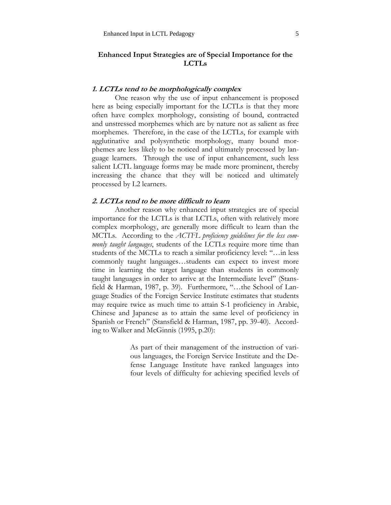# **Enhanced Input Strategies are of Special Importance for the LCTLs**

# **1. LCTLs tend to be morphologically complex**

 One reason why the use of input enhancement is proposed here as being especially important for the LCTLs is that they more often have complex morphology, consisting of bound, contracted and unstressed morphemes which are by nature not as salient as free morphemes. Therefore, in the case of the LCTLs, for example with agglutinative and polysynthetic morphology, many bound morphemes are less likely to be noticed and ultimately processed by language learners. Through the use of input enhancement, such less salient LCTL language forms may be made more prominent, thereby increasing the chance that they will be noticed and ultimately processed by L2 learners.

# **2. LCTLs tend to be more difficult to learn**

 Another reason why enhanced input strategies are of special importance for the LCTLs is that LCTLs, often with relatively more complex morphology, are generally more difficult to learn than the MCTLs. According to the *ACTFL proficiency guidelines for the less commonly taught languages*, students of the LCTLs require more time than students of the MCTLs to reach a similar proficiency level: "…in less commonly taught languages…students can expect to invest more time in learning the target language than students in commonly taught languages in order to arrive at the Intermediate level" (Stansfield & Harman, 1987, p. 39). Furthermore, "…the School of Language Studies of the Foreign Service Institute estimates that students may require twice as much time to attain S-1 proficiency in Arabic, Chinese and Japanese as to attain the same level of proficiency in Spanish or French" (Stansfield & Harman, 1987, pp. 39-40). According to Walker and McGinnis (1995, p.20):

> As part of their management of the instruction of various languages, the Foreign Service Institute and the Defense Language Institute have ranked languages into four levels of difficulty for achieving specified levels of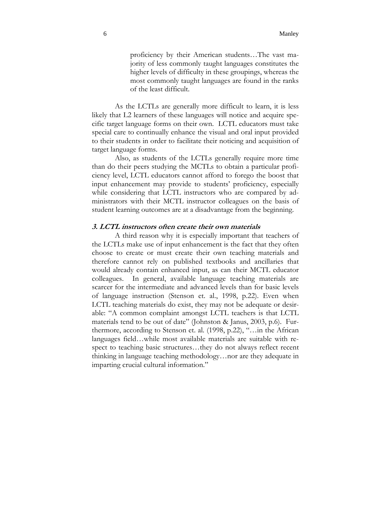proficiency by their American students…The vast majority of less commonly taught languages constitutes the higher levels of difficulty in these groupings, whereas the most commonly taught languages are found in the ranks of the least difficult.

 As the LCTLs are generally more difficult to learn, it is less likely that L2 learners of these languages will notice and acquire specific target language forms on their own. LCTL educators must take special care to continually enhance the visual and oral input provided to their students in order to facilitate their noticing and acquisition of target language forms.

Also, as students of the LCTLs generally require more time than do their peers studying the MCTLs to obtain a particular proficiency level, LCTL educators cannot afford to forego the boost that input enhancement may provide to students' proficiency, especially while considering that LCTL instructors who are compared by administrators with their MCTL instructor colleagues on the basis of student learning outcomes are at a disadvantage from the beginning.

#### **3. LCTL instructors often create their own materials**

 A third reason why it is especially important that teachers of the LCTLs make use of input enhancement is the fact that they often choose to create or must create their own teaching materials and therefore cannot rely on published textbooks and ancillaries that would already contain enhanced input, as can their MCTL educator colleagues. In general, available language teaching materials are scarcer for the intermediate and advanced levels than for basic levels of language instruction (Stenson et. al., 1998, p.22). Even when LCTL teaching materials do exist, they may not be adequate or desirable: "A common complaint amongst LCTL teachers is that LCTL materials tend to be out of date" (Johnston & Janus, 2003, p.6). Furthermore, according to Stenson et. al. (1998, p.22), "…in the African languages field…while most available materials are suitable with respect to teaching basic structures…they do not always reflect recent thinking in language teaching methodology…nor are they adequate in imparting crucial cultural information."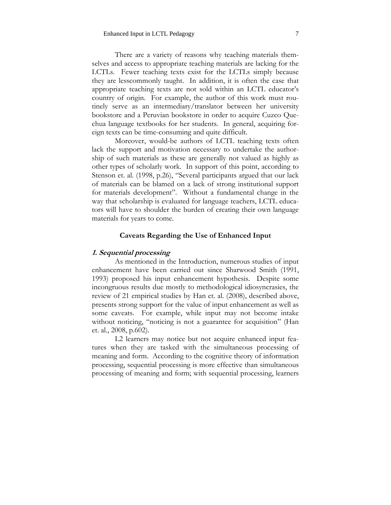There are a variety of reasons why teaching materials themselves and access to appropriate teaching materials are lacking for the LCTLs. Fewer teaching texts exist for the LCTLs simply because they are lesscommonly taught. In addition, it is often the case that appropriate teaching texts are not sold within an LCTL educator's country of origin. For example, the author of this work must routinely serve as an intermediary/translator between her university bookstore and a Peruvian bookstore in order to acquire Cuzco Quechua language textbooks for her students. In general, acquiring foreign texts can be time-consuming and quite difficult.

 Moreover, would-be authors of LCTL teaching texts often lack the support and motivation necessary to undertake the authorship of such materials as these are generally not valued as highly as other types of scholarly work. In support of this point, according to Stenson et. al. (1998, p.26), "Several participants argued that our lack of materials can be blamed on a lack of strong institutional support for materials development". Without a fundamental change in the way that scholarship is evaluated for language teachers, LCTL educators will have to shoulder the burden of creating their own language materials for years to come.

#### **Caveats Regarding the Use of Enhanced Input**

# **1. Sequential processing**

As mentioned in the Introduction, numerous studies of input enhancement have been carried out since Sharwood Smith (1991, 1993) proposed his input enhancement hypothesis. Despite some incongruous results due mostly to methodological idiosyncrasies, the review of 21 empirical studies by Han et. al. (2008), described above, presents strong support for the value of input enhancement as well as some caveats. For example, while input may not become intake without noticing, "noticing is not a guarantee for acquisition" (Han et. al., 2008, p.602).

L2 learners may notice but not acquire enhanced input features when they are tasked with the simultaneous processing of meaning and form. According to the cognitive theory of information processing, sequential processing is more effective than simultaneous processing of meaning and form; with sequential processing, learners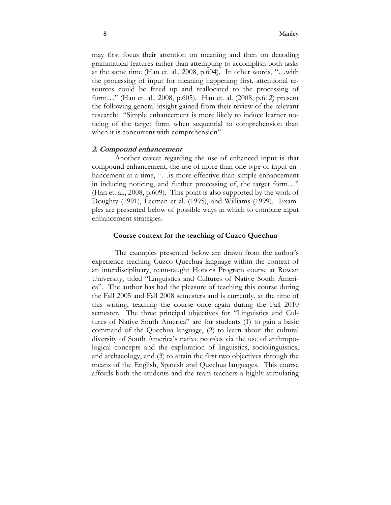may first focus their attention on meaning and then on decoding grammatical features rather than attempting to accomplish both tasks at the same time (Han et. al., 2008, p.604). In other words, "…with the processing of input for meaning happening first, attentional resources could be freed up and reallocated to the processing of form…" (Han et. al., 2008, p.605). Han et. al. (2008, p.612) present the following general insight gained from their review of the relevant research: "Simple enhancement is more likely to induce learner noticing of the target form when sequential to comprehension than when it is concurrent with comprehension".

#### **2. Compound enhancement**

 Another caveat regarding the use of enhanced input is that compound enhancement, the use of more than one type of input enhancement at a time, "...is more effective than simple enhancement in inducing noticing, and further processing of, the target form…" (Han et. al., 2008, p.609). This point is also supported by the work of Doughty (1991), Leeman et al. (1995), and Williams (1999). Examples are presented below of possible ways in which to combine input enhancement strategies.

# **Course context for the teaching of Cuzco Quechua**

The examples presented below are drawn from the author's experience teaching Cuzco Quechua language within the context of an interdisciplinary, team-taught Honors Program course at Rowan University, titled "Linguistics and Cultures of Native South America". The author has had the pleasure of teaching this course during the Fall 2005 and Fall 2008 semesters and is currently, at the time of this writing, teaching the course once again during the Fall 2010 semester. The three principal objectives for "Linguistics and Cultures of Native South America" are for students (1) to gain a basic command of the Quechua language, (2) to learn about the cultural diversity of South America's native peoples via the use of anthropological concepts and the exploration of linguistics, sociolinguistics, and archaeology, and (3) to attain the first two objectives through the means of the English, Spanish and Quechua languages. This course affords both the students and the team-teachers a highly-stimulating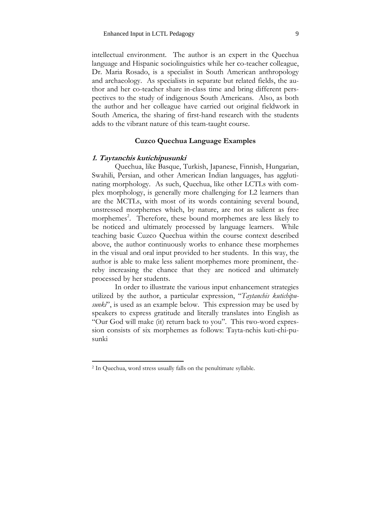intellectual environment. The author is an expert in the Quechua language and Hispanic sociolinguistics while her co-teacher colleague, Dr. Maria Rosado, is a specialist in South American anthropology and archaeology. As specialists in separate but related fields, the author and her co-teacher share in-class time and bring different perspectives to the study of indigenous South Americans. Also, as both the author and her colleague have carried out original fieldwork in South America, the sharing of first-hand research with the students adds to the vibrant nature of this team-taught course.

# **Cuzco Quechua Language Examples**

#### **1. Taytanchis kutichipusunki**

 Quechua, like Basque, Turkish, Japanese, Finnish, Hungarian, Swahili, Persian, and other American Indian languages, has agglutinating morphology. As such, Quechua, like other LCTLs with complex morphology, is generally more challenging for L2 learners than are the MCTLs, with most of its words containing several bound, unstressed morphemes which, by nature, are not as salient as free morphemes<sup>2</sup>. Therefore, these bound morphemes are less likely to be noticed and ultimately processed by language learners. While teaching basic Cuzco Quechua within the course context described above, the author continuously works to enhance these morphemes in the visual and oral input provided to her students. In this way, the author is able to make less salient morphemes more prominent, thereby increasing the chance that they are noticed and ultimately processed by her students.

 In order to illustrate the various input enhancement strategies utilized by the author, a particular expression, "*Taytanchis kutichipusunki*", is used as an example below. This expression may be used by speakers to express gratitude and literally translates into English as "Our God will make (it) return back to you". This two-word expression consists of six morphemes as follows: Tayta-nchis kuti-chi-pusunki

 $\overline{a}$ 

<sup>2</sup> In Quechua, word stress usually falls on the penultimate syllable.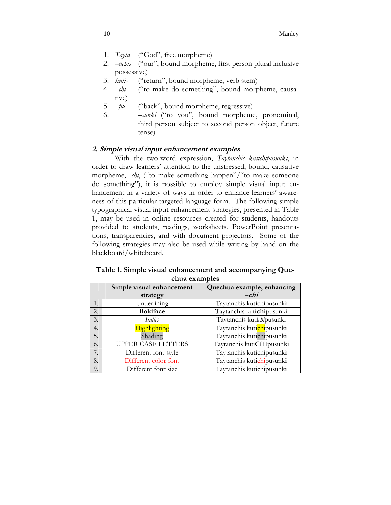- 1. *Tayta* ("God", free morpheme)
- 2. –*nchis* ("our", bound morpheme, first person plural inclusive possessive)
- 3. *kuti* ("return", bound morpheme, verb stem)
- 4. –*chi* ("to make do something", bound morpheme, causative)
- 5. –*pu* ("back", bound morpheme, regressive)
- 6. –*sunki* ("to you", bound morpheme, pronominal, third person subject to second person object, future tense)

# **2. Simple visual input enhancement examples**

 With the two-word expression, *Taytanchis kutichipusunki*, in order to draw learners' attention to the unstressed, bound, causative morpheme, -*chi*, ("to make something happen"/"to make someone do something"), it is possible to employ simple visual input enhancement in a variety of ways in order to enhance learners' awareness of this particular targeted language form. The following simple typographical visual input enhancement strategies, presented in Table 1, may be used in online resources created for students, handouts provided to students, readings, worksheets, PowerPoint presentations, transparencies, and with document projectors. Some of the following strategies may also be used while writing by hand on the blackboard/whiteboard.

| CHUU CAUHDICO |                           |                            |  |  |
|---------------|---------------------------|----------------------------|--|--|
|               | Simple visual enhancement | Quechua example, enhancing |  |  |
|               | strategy                  | $-chi$                     |  |  |
| 1.            | Underlining               | Taytanchis kutichipusunki  |  |  |
| 2.            | <b>Boldface</b>           | Taytanchis kutichipusunki  |  |  |
| 3.            | Italics                   | Taytanchis kutichipusunki  |  |  |
| 4.            | Highlighting              | Taytanchis kutichipusunki  |  |  |
| 5.            | Shading                   | Taytanchis kutichipusunki  |  |  |
| 6.            | <b>UPPER CASE LETTERS</b> | Taytanchis kutiCHIpusunki  |  |  |
| 7.            | Different font style      | Taytanchis kutichipusunki  |  |  |
| 8.            | Different color font      | Taytanchis kutichipusunki  |  |  |
| 9.            | Different font size       | Taytanchis kutichipusunki  |  |  |

| Table 1. Simple visual enhancement and accompanying Que- |  |
|----------------------------------------------------------|--|
| chua examples                                            |  |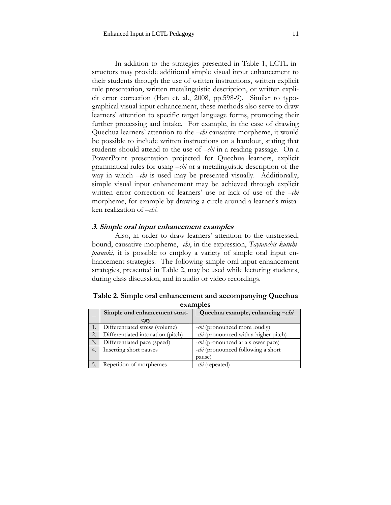In addition to the strategies presented in Table 1, LCTL instructors may provide additional simple visual input enhancement to their students through the use of written instructions, written explicit rule presentation, written metalinguistic description, or written explicit error correction (Han et. al., 2008, pp.598-9). Similar to typographical visual input enhancement, these methods also serve to draw learners' attention to specific target language forms, promoting their further processing and intake. For example, in the case of drawing Quechua learners' attention to the –*chi* causative morpheme, it would be possible to include written instructions on a handout, stating that students should attend to the use of –*chi* in a reading passage. On a PowerPoint presentation projected for Quechua learners, explicit grammatical rules for using –*chi* or a metalinguistic description of the way in which  $-\epsilon h$  is used may be presented visually. Additionally, simple visual input enhancement may be achieved through explicit written error correction of learners' use or lack of use of the –*chi*  morpheme, for example by drawing a circle around a learner's mistaken realization of –*chi*.

#### **3. Simple oral input enhancement examples**

Repetition of morphemes  $\Big|$  -*chi* (repeated)

 Also, in order to draw learners' attention to the unstressed, bound, causative morpheme, -*chi*, in the expression, *Taytanchis kutichipusunki*, it is possible to employ a variety of simple oral input enhancement strategies. The following simple oral input enhancement strategies, presented in Table 2, may be used while lecturing students, during class discussion, and in audio or video recordings.

| examples         |                                   |                                               |  |  |
|------------------|-----------------------------------|-----------------------------------------------|--|--|
|                  | Simple oral enhancement strat-    | Quechua example, enhancing -chi               |  |  |
|                  | egy                               |                                               |  |  |
|                  | Differentiated stress (volume)    | <i>-chi</i> (pronounced more loudly)          |  |  |
| $\overline{2}$ . | Differentiated intonation (pitch) | - <i>chi</i> (pronounced with a higher pitch) |  |  |
| 3.               | Differentiated pace (speed)       | <i>-chi</i> (pronounced at a slower pace)     |  |  |
| 4.               | Inserting short pauses            | -chi (pronounced following a short            |  |  |

**Table 2. Simple oral enhancement and accompanying Quechua examples** 

pause)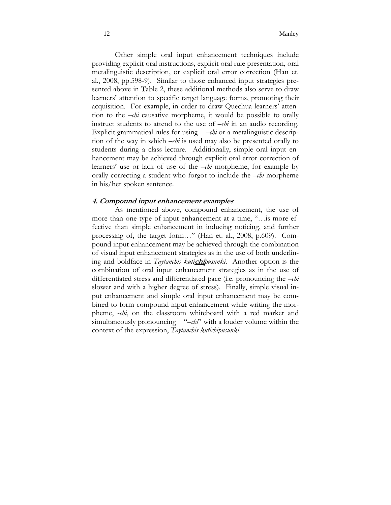Other simple oral input enhancement techniques include providing explicit oral instructions, explicit oral rule presentation, oral metalinguistic description, or explicit oral error correction (Han et. al., 2008, pp.598-9). Similar to those enhanced input strategies presented above in Table 2, these additional methods also serve to draw learners' attention to specific target language forms, promoting their acquisition. For example, in order to draw Quechua learners' attention to the –*chi* causative morpheme, it would be possible to orally instruct students to attend to the use of –*chi* in an audio recording. Explicit grammatical rules for using –*chi* or a metalinguistic description of the way in which –*chi* is used may also be presented orally to students during a class lecture. Additionally, simple oral input enhancement may be achieved through explicit oral error correction of learners' use or lack of use of the –*chi* morpheme, for example by orally correcting a student who forgot to include the –*chi* morpheme in his/her spoken sentence.

# **4. Compound input enhancement examples**

As mentioned above, compound enhancement, the use of more than one type of input enhancement at a time, "…is more effective than simple enhancement in inducing noticing, and further processing of, the target form…" (Han et. al., 2008, p.609). Compound input enhancement may be achieved through the combination of visual input enhancement strategies as in the use of both underlining and boldface in *Taytanchis kuti***chi***pusunki*. Another option is the combination of oral input enhancement strategies as in the use of differentiated stress and differentiated pace (i.e. pronouncing the –*chi*  slower and with a higher degree of stress). Finally, simple visual input enhancement and simple oral input enhancement may be combined to form compound input enhancement while writing the morpheme, -*chi*, on the classroom whiteboard with a red marker and simultaneously pronouncing "–*chi*" with a louder volume within the context of the expression, *Taytanchis kutichipusunki*.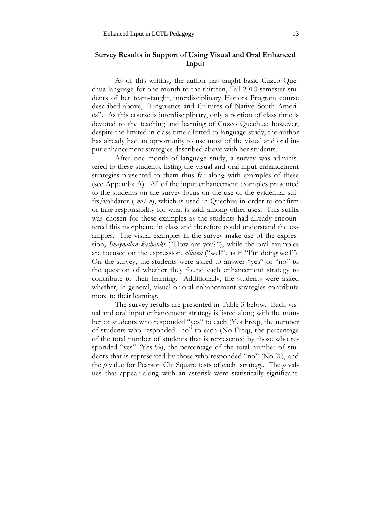# **Survey Results in Support of Using Visual and Oral Enhanced Input**

As of this writing, the author has taught basic Cuzco Quechua language for one month to the thirteen, Fall 2010 semester students of her team-taught, interdisciplinary Honors Program course described above, "Linguistics and Cultures of Native South America". As this course is interdisciplinary, only a portion of class time is devoted to the teaching and learning of Cuzco Quechua; however, despite the limited in-class time allotted to language study, the author has already had an opportunity to use most of the visual and oral input enhancement strategies described above with her students.

After one month of language study, a survey was administered to these students, listing the visual and oral input enhancement strategies presented to them thus far along with examples of these (see Appendix A). All of the input enhancement examples presented to the students on the survey focus on the use of the evidential suffix/validator (-*mi/-n*), which is used in Quechua in order to confirm or take responsibility for what is said, among other uses. This suffix was chosen for these examples as the students had already encountered this morpheme in class and therefore could understand the examples. The visual examples in the survey make use of the expression, *Imaynallan kashanki* ("How are you?"), while the oral examples are focused on the expression, *allinmi* ("well", as in "I'm doing well"). On the survey, the students were asked to answer "yes" or "no" to the question of whether they found each enhancement strategy to contribute to their learning. Additionally, the students were asked whether, in general, visual or oral enhancement strategies contribute more to their learning.

The survey results are presented in Table 3 below. Each visual and oral input enhancement strategy is listed along with the number of students who responded "yes" to each (Yes Freq), the number of students who responded "no" to each (No Freq), the percentage of the total number of students that is represented by those who responded "yes" (Yes  $\%$ ), the percentage of the total number of students that is represented by those who responded "no" (No %), and the *p* value for Pearson Chi Square tests of each strategy. The *p* values that appear along with an asterisk were statistically significant.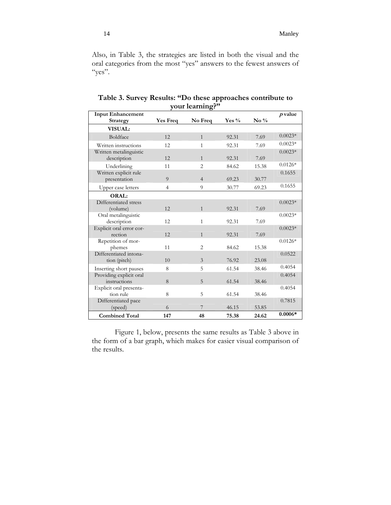Also, in Table 3, the strategies are listed in both the visual and the oral categories from the most "yes" answers to the fewest answers of  $``yes''.$ 

| <b>Input Enhancement</b>                |                 |                |         |                    | $p$ value |
|-----------------------------------------|-----------------|----------------|---------|--------------------|-----------|
| Strategy                                | <b>Yes Freq</b> | No Freq        | Yes $%$ | $\mathrm{No} \ \%$ |           |
| <b>VISUAL:</b>                          |                 |                |         |                    |           |
| Boldface                                | 12              | $\mathbf{1}$   | 92.31   | 7.69               | $0.0023*$ |
| Written instructions                    | 12              | 1              | 92.31   | 7.69               | $0.0023*$ |
| Written metalinguistic<br>description   | 12              | $\mathbf{1}$   | 92.31   | 7.69               | $0.0023*$ |
| Underlining                             | 11              | $\mathfrak{D}$ | 84.62   | 15.38              | $0.0126*$ |
| Written explicit rule<br>presentation   | 9               | $\overline{4}$ | 69.23   | 30.77              | 0.1655    |
| Upper case letters                      | $\overline{4}$  | 9              | 30.77   | 69.23              | 0.1655    |
| <b>ORAL:</b>                            |                 |                |         |                    |           |
| Differentiated stress<br>(volume)       | 12              | $\mathbf{1}$   | 92.31   | 7.69               | $0.0023*$ |
| Oral metalinguistic<br>description      | 12              | 1              | 92.31   | 7.69               | $0.0023*$ |
| Explicit oral error cor-<br>rection     | 12              | $\mathbf{1}$   | 92.31   | 7.69               | $0.0023*$ |
| Repetition of mor-<br>phemes            | 11              | $\overline{c}$ | 84.62   | 15.38              | $0.0126*$ |
| Differentiated intona-<br>tion (pitch)  | 10              | 3              | 76.92   | 23.08              | 0.0522    |
| Inserting short pauses                  | 8               | 5              | 61.54   | 38.46              | 0.4054    |
| Providing explicit oral<br>instructions | 8               | 5              | 61.54   | 38.46              | 0.4054    |
| Explicit oral presenta-<br>tion rule    | 8               | 5              | 61.54   | 38.46              | 0.4054    |
| Differentiated pace                     |                 |                |         |                    | 0.7815    |
| (speed)                                 | 6               | 7              | 46.15   | 53.85              |           |
| <b>Combined Total</b>                   | 147             | 48             | 75.38   | 24.62              | $0.0006*$ |

**Table 3. Survey Results: "Do these approaches contribute to your learning?"** 

 Figure 1, below, presents the same results as Table 3 above in the form of a bar graph, which makes for easier visual comparison of the results.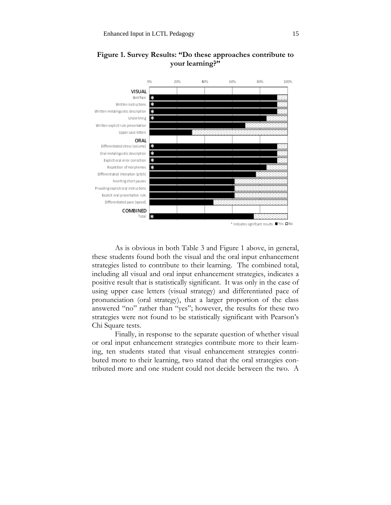

# **Figure 1. Survey Results: "Do these approaches contribute to your learning?"**

 As is obvious in both Table 3 and Figure 1 above, in general, these students found both the visual and the oral input enhancement strategies listed to contribute to their learning. The combined total, including all visual and oral input enhancement strategies, indicates a positive result that is statistically significant. It was only in the case of using upper case letters (visual strategy) and differentiated pace of pronunciation (oral strategy), that a larger proportion of the class answered "no" rather than "yes"; however, the results for these two strategies were not found to be statistically significant with Pearson's Chi Square tests.

 Finally, in response to the separate question of whether visual or oral input enhancement strategies contribute more to their learning, ten students stated that visual enhancement strategies contributed more to their learning, two stated that the oral strategies contributed more and one student could not decide between the two. A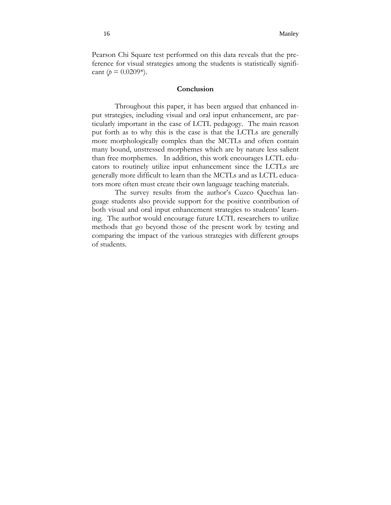Pearson Chi Square test performed on this data reveals that the preference for visual strategies among the students is statistically significant ( $p = 0.0209$ <sup>\*</sup>).

# **Conclusion**

Throughout this paper, it has been argued that enhanced input strategies, including visual and oral input enhancement, are particularly important in the case of LCTL pedagogy. The main reason put forth as to why this is the case is that the LCTLs are generally more morphologically complex than the MCTLs and often contain many bound, unstressed morphemes which are by nature less salient than free morphemes. In addition, this work encourages LCTL educators to routinely utilize input enhancement since the LCTLs are generally more difficult to learn than the MCTLs and as LCTL educators more often must create their own language teaching materials.

The survey results from the author's Cuzco Quechua language students also provide support for the positive contribution of both visual and oral input enhancement strategies to students' learning. The author would encourage future LCTL researchers to utilize methods that go beyond those of the present work by testing and comparing the impact of the various strategies with different groups of students.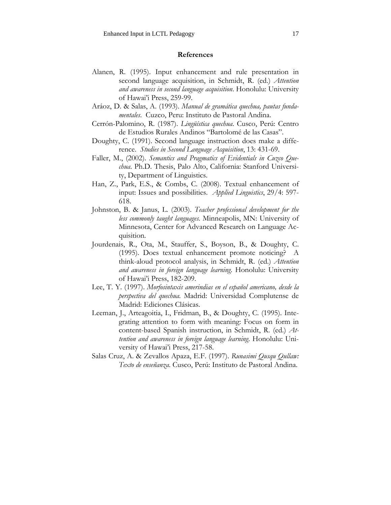### **References**

- Alanen, R. (1995). Input enhancement and rule presentation in second language acquisition, in Schmidt, R. (ed.) *Attention and awareness in second language acquisition*. Honolulu: University of Hawai'i Press, 259-99.
- Aráoz, D. & Salas, A. (1993). *Manual de gramática quechua, pautas fundamentales*. Cuzco, Peru: Instituto de Pastoral Andina.
- Cerrón-Palomino, R. (1987). *Lingüística quechua*. Cusco, Perú: Centro de Estudios Rurales Andinos "Bartolomé de las Casas".
- Doughty, C. (1991). Second language instruction does make a difference. *Studies in Second Language Acquisition*, 13: 431-69.
- Faller, M., (2002). *Semantics and Pragmatics of Evidentials in Cuzco Quechua*. Ph.D. Thesis, Palo Alto, California: Stanford University, Department of Linguistics.
- Han, Z., Park, E.S., & Combs, C. (2008). Textual enhancement of input: Issues and possibilities. *Applied Linguistics*, 29/4: 597- 618.
- Johnston, B. & Janus, L. (2003). *Teacher professional development for the less commonly taught languages.* Minneapolis, MN: University of Minnesota, Center for Advanced Research on Language Acquisition.
- Jourdenais, R., Ota, M., Stauffer, S., Boyson, B., & Doughty, C. (1995). Does textual enhancement promote noticing? A think-aloud protocol analysis, in Schmidt, R. (ed.) *Attention and awareness in foreign language learning*. Honolulu: University of Hawai'i Press, 182-209.
- Lee, T. Y. (1997). *Morfosintaxis amerindias en el español americano, desde la perspectiva del quechua.* Madrid: Universidad Complutense de Madrid: Ediciones Clásicas.
- Leeman, J., Arteagoitia, I., Fridman, B., & Doughty, C. (1995). Integrating attention to form with meaning: Focus on form in content-based Spanish instruction, in Schmidt, R. (ed.) *Attention and awareness in foreign language learning*. Honolulu: University of Hawai'i Press, 217-58.
- Salas Cruz, A. & Zevallos Apaza, E.F. (1997). *Runasimi Qusqu Qullaw: Texto de enseñanza*. Cusco, Perú: Instituto de Pastoral Andina.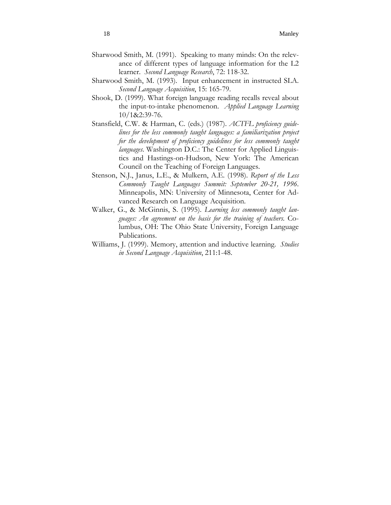- Sharwood Smith, M. (1991). Speaking to many minds: On the relevance of different types of language information for the L2 learner. *Second Language Research*, 72: 118-32.
- Sharwood Smith, M. (1993). Input enhancement in instructed SLA. *Second Language Acquisition*, 15: 165-79.
- Shook, D. (1999). What foreign language reading recalls reveal about the input-to-intake phenomenon. *Applied Language Learning* 10/1&2:39-76.
- Stansfield, C.W. & Harman, C. (eds.) (1987). *ACTFL proficiency guidelines for the less commonly taught languages: a familiarization project for the development of proficiency guidelines for less commonly taught languages*. Washington D.C.: The Center for Applied Linguistics and Hastings-on-Hudson, New York: The American Council on the Teaching of Foreign Languages.
- Stenson, N.J., Janus, L.E., & Mulkern, A.E. (1998). *Report of the Less Commonly Taught Languages Summit: September 20-21, 1996*. Minneapolis, MN: University of Minnesota, Center for Advanced Research on Language Acquisition.
- Walker, G., & McGinnis, S. (1995). *Learning less commonly taught languages: An agreement on the basis for the training of teachers*. Columbus, OH: The Ohio State University, Foreign Language Publications.
- Williams, J. (1999). Memory, attention and inductive learning. *Studies in Second Language Acquisition*, 211:1-48.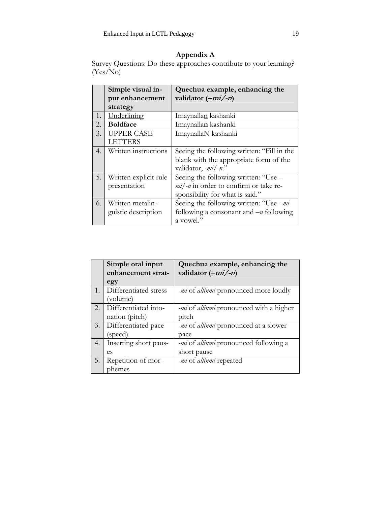# **Appendix A**

Survey Questions: Do these approaches contribute to your learning? (Yes/No)

|    | Simple visual in-     | Quechua example, enhancing the             |
|----|-----------------------|--------------------------------------------|
|    | put enhancement       | validator $(-mi/-n)$                       |
|    | strategy              |                                            |
| 1. | Underlining           | Imaynallan kashanki                        |
| 2. | <b>Boldface</b>       | Imaynallan kashanki                        |
| 3. | <b>UPPER CASE</b>     | ImaynallaN kashanki                        |
|    | <b>LETTERS</b>        |                                            |
| 4. | Written instructions  | Seeing the following written: "Fill in the |
|    |                       | blank with the appropriate form of the     |
|    |                       | validator, $-mi/-n$ ."                     |
| 5. | Written explicit rule | Seeing the following written: "Use -       |
|    | presentation          | $mi$ -n in order to confirm or take re-    |
|    |                       | sponsibility for what is said."            |
| 6. | Written metalin-      | Seeing the following written: "Use -mi     |
|    | guistic description   | following a consonant and $-n$ following   |
|    |                       | a vowel."                                  |

|                  | Simple oral input     | Quechua example, enhancing the                        |
|------------------|-----------------------|-------------------------------------------------------|
|                  | enhancement strat-    | validator $(-mi/-n)$                                  |
|                  | egy                   |                                                       |
| $\overline{1}$ . | Differentiated stress | <i>-mi</i> of <i>allinmi</i> pronounced more loudly   |
|                  | (volume)              |                                                       |
| 2.               | Differentiated into-  | <i>-mi</i> of <i>allinmi</i> pronounced with a higher |
|                  | nation (pitch)        | pitch                                                 |
| 3.               | Differentiated pace   | -mi of allinmi pronounced at a slower                 |
|                  | (speed)               | pace                                                  |
| 4.               | Inserting short paus- | <i>-mi</i> of <i>allinmi</i> pronounced following a   |
|                  | es                    | short pause                                           |
| 5.               | Repetition of mor-    | <i>-mi</i> of <i>allinmi</i> repeated                 |
|                  | phemes                |                                                       |